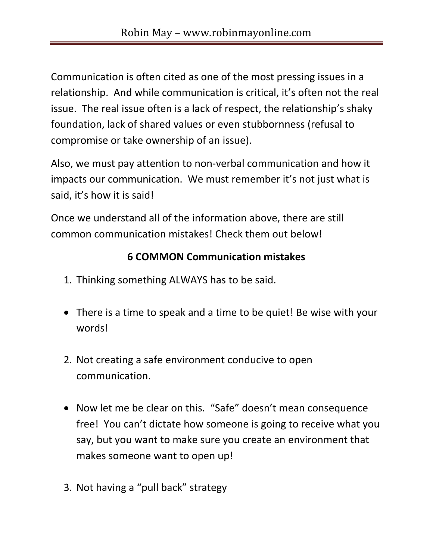Communication is often cited as one of the most pressing issues in a relationship. And while communication is critical, it's often not the real issue. The real issue often is a lack of respect, the relationship's shaky foundation, lack of shared values or even stubbornness (refusal to compromise or take ownership of an issue).

Also, we must pay attention to non-verbal communication and how it impacts our communication. We must remember it's not just what is said, it's how it is said!

Once we understand all of the information above, there are still common communication mistakes! Check them out below!

## **6 COMMON Communication mistakes**

- 1. Thinking something ALWAYS has to be said.
- There is a time to speak and a time to be quiet! Be wise with your words!
- 2. Not creating a safe environment conducive to open communication.
- Now let me be clear on this. "Safe" doesn't mean consequence free! You can't dictate how someone is going to receive what you say, but you want to make sure you create an environment that makes someone want to open up!
- 3. Not having a "pull back" strategy